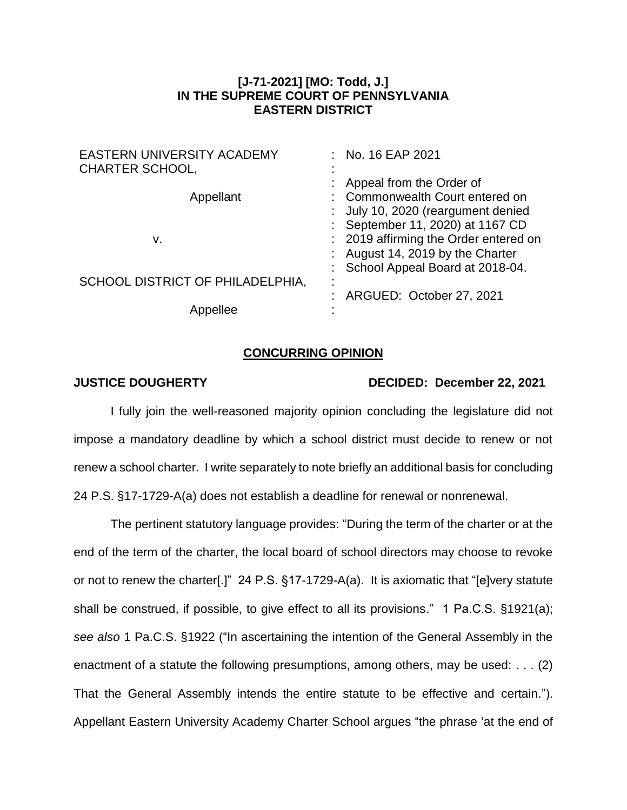## **[J-71-2021] [MO: Todd, J.] IN THE SUPREME COURT OF PENNSYLVANIA EASTERN DISTRICT**

| <b>EASTERN UNIVERSITY ACADEMY</b><br><b>CHARTER SCHOOL,</b> | : No. 16 EAP 2021                                                                                                                                  |
|-------------------------------------------------------------|----------------------------------------------------------------------------------------------------------------------------------------------------|
| Appellant                                                   | : Appeal from the Order of<br>: Commonwealth Court entered on<br>: July 10, 2020 (reargument denied                                                |
| v.                                                          | : September 11, 2020) at 1167 CD<br>: 2019 affirming the Order entered on<br>: August 14, 2019 by the Charter<br>: School Appeal Board at 2018-04. |
| SCHOOL DISTRICT OF PHILADELPHIA,                            | : ARGUED: October 27, 2021                                                                                                                         |
| lee                                                         |                                                                                                                                                    |

## **CONCURRING OPINION**

## **JUSTICE DOUGHERTY DECIDED: December 22, 2021**

I fully join the well-reasoned majority opinion concluding the legislature did not impose a mandatory deadline by which a school district must decide to renew or not renew a school charter. I write separately to note briefly an additional basis for concluding 24 P.S. §17-1729-A(a) does not establish a deadline for renewal or nonrenewal.

The pertinent statutory language provides: "During the term of the charter or at the end of the term of the charter, the local board of school directors may choose to revoke or not to renew the charter[.]" 24 P.S. §17-1729-A(a). It is axiomatic that "[e]very statute shall be construed, if possible, to give effect to all its provisions." 1 Pa.C.S. §1921(a); *see also* 1 Pa.C.S. §1922 ("In ascertaining the intention of the General Assembly in the enactment of a statute the following presumptions, among others, may be used: . . . (2) That the General Assembly intends the entire statute to be effective and certain."). Appellant Eastern University Academy Charter School argues "the phrase 'at the end of